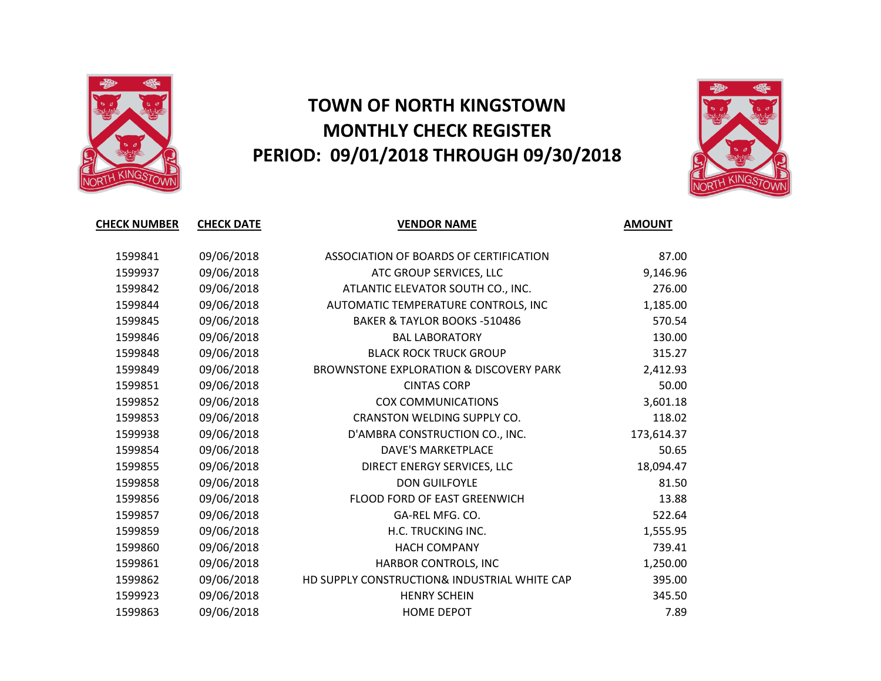

## **TOWN OF NORTH KINGSTOWN MONTHLY CHECK REGISTER PERIOD: 09/01/2018 THROUGH 09/30/2018**



| <b>CHECK NUMBER</b> | <b>CHECK DATE</b> | <b>VENDOR NAME</b>                                 | <b>AMOUNT</b> |
|---------------------|-------------------|----------------------------------------------------|---------------|
|                     |                   |                                                    |               |
| 1599841             | 09/06/2018        | ASSOCIATION OF BOARDS OF CERTIFICATION             | 87.00         |
| 1599937             | 09/06/2018        | ATC GROUP SERVICES, LLC                            | 9,146.96      |
| 1599842             | 09/06/2018        | ATLANTIC ELEVATOR SOUTH CO., INC.                  | 276.00        |
| 1599844             | 09/06/2018        | AUTOMATIC TEMPERATURE CONTROLS, INC                | 1,185.00      |
| 1599845             | 09/06/2018        | BAKER & TAYLOR BOOKS -510486                       | 570.54        |
| 1599846             | 09/06/2018        | <b>BAL LABORATORY</b>                              | 130.00        |
| 1599848             | 09/06/2018        | <b>BLACK ROCK TRUCK GROUP</b>                      | 315.27        |
| 1599849             | 09/06/2018        | <b>BROWNSTONE EXPLORATION &amp; DISCOVERY PARK</b> | 2,412.93      |
| 1599851             | 09/06/2018        | <b>CINTAS CORP</b>                                 | 50.00         |
| 1599852             | 09/06/2018        | <b>COX COMMUNICATIONS</b>                          | 3,601.18      |
| 1599853             | 09/06/2018        | CRANSTON WELDING SUPPLY CO.                        | 118.02        |
| 1599938             | 09/06/2018        | D'AMBRA CONSTRUCTION CO., INC.                     | 173,614.37    |
| 1599854             | 09/06/2018        | <b>DAVE'S MARKETPLACE</b>                          | 50.65         |
| 1599855             | 09/06/2018        | DIRECT ENERGY SERVICES, LLC                        | 18,094.47     |
| 1599858             | 09/06/2018        | <b>DON GUILFOYLE</b>                               | 81.50         |
| 1599856             | 09/06/2018        | FLOOD FORD OF EAST GREENWICH                       | 13.88         |
| 1599857             | 09/06/2018        | GA-REL MFG. CO.                                    | 522.64        |
| 1599859             | 09/06/2018        | H.C. TRUCKING INC.                                 | 1,555.95      |
| 1599860             | 09/06/2018        | <b>HACH COMPANY</b>                                | 739.41        |
| 1599861             | 09/06/2018        | HARBOR CONTROLS, INC                               | 1,250.00      |
| 1599862             | 09/06/2018        | HD SUPPLY CONSTRUCTION& INDUSTRIAL WHITE CAP       | 395.00        |
| 1599923             | 09/06/2018        | <b>HENRY SCHEIN</b>                                | 345.50        |
| 1599863             | 09/06/2018        | <b>HOME DEPOT</b>                                  | 7.89          |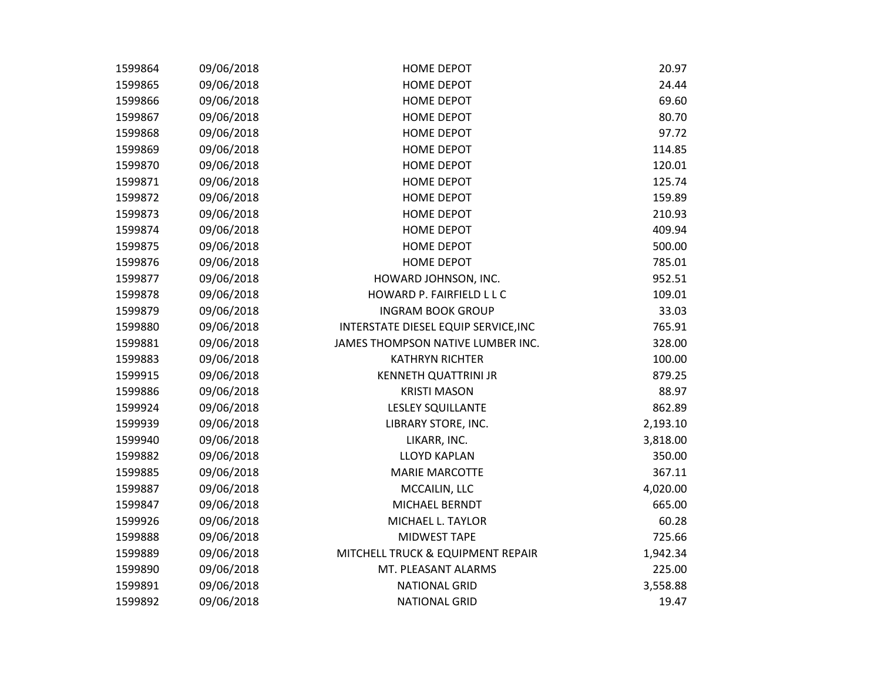| 1599864 | 09/06/2018 | <b>HOME DEPOT</b>                    | 20.97    |
|---------|------------|--------------------------------------|----------|
| 1599865 | 09/06/2018 | <b>HOME DEPOT</b>                    | 24.44    |
| 1599866 | 09/06/2018 | <b>HOME DEPOT</b>                    | 69.60    |
| 1599867 | 09/06/2018 | <b>HOME DEPOT</b>                    | 80.70    |
| 1599868 | 09/06/2018 | <b>HOME DEPOT</b>                    | 97.72    |
| 1599869 | 09/06/2018 | <b>HOME DEPOT</b>                    | 114.85   |
| 1599870 | 09/06/2018 | <b>HOME DEPOT</b>                    | 120.01   |
| 1599871 | 09/06/2018 | HOME DEPOT                           | 125.74   |
| 1599872 | 09/06/2018 | <b>HOME DEPOT</b>                    | 159.89   |
| 1599873 | 09/06/2018 | <b>HOME DEPOT</b>                    | 210.93   |
| 1599874 | 09/06/2018 | <b>HOME DEPOT</b>                    | 409.94   |
| 1599875 | 09/06/2018 | <b>HOME DEPOT</b>                    | 500.00   |
| 1599876 | 09/06/2018 | <b>HOME DEPOT</b>                    | 785.01   |
| 1599877 | 09/06/2018 | HOWARD JOHNSON, INC.                 | 952.51   |
| 1599878 | 09/06/2018 | HOWARD P. FAIRFIELD L L C            | 109.01   |
| 1599879 | 09/06/2018 | <b>INGRAM BOOK GROUP</b>             | 33.03    |
| 1599880 | 09/06/2018 | INTERSTATE DIESEL EQUIP SERVICE, INC | 765.91   |
| 1599881 | 09/06/2018 | JAMES THOMPSON NATIVE LUMBER INC.    | 328.00   |
| 1599883 | 09/06/2018 | <b>KATHRYN RICHTER</b>               | 100.00   |
| 1599915 | 09/06/2018 | <b>KENNETH QUATTRINI JR</b>          | 879.25   |
| 1599886 | 09/06/2018 | <b>KRISTI MASON</b>                  | 88.97    |
| 1599924 | 09/06/2018 | <b>LESLEY SQUILLANTE</b>             | 862.89   |
| 1599939 | 09/06/2018 | LIBRARY STORE, INC.                  | 2,193.10 |
| 1599940 | 09/06/2018 | LIKARR, INC.                         | 3,818.00 |
| 1599882 | 09/06/2018 | <b>LLOYD KAPLAN</b>                  | 350.00   |
| 1599885 | 09/06/2018 | <b>MARIE MARCOTTE</b>                | 367.11   |
| 1599887 | 09/06/2018 | MCCAILIN, LLC                        | 4,020.00 |
| 1599847 | 09/06/2018 | MICHAEL BERNDT                       | 665.00   |
| 1599926 | 09/06/2018 | MICHAEL L. TAYLOR                    | 60.28    |
| 1599888 | 09/06/2018 | <b>MIDWEST TAPE</b>                  | 725.66   |
| 1599889 | 09/06/2018 | MITCHELL TRUCK & EQUIPMENT REPAIR    | 1,942.34 |
| 1599890 | 09/06/2018 | MT. PLEASANT ALARMS                  | 225.00   |
| 1599891 | 09/06/2018 | <b>NATIONAL GRID</b>                 | 3,558.88 |
| 1599892 | 09/06/2018 | <b>NATIONAL GRID</b>                 | 19.47    |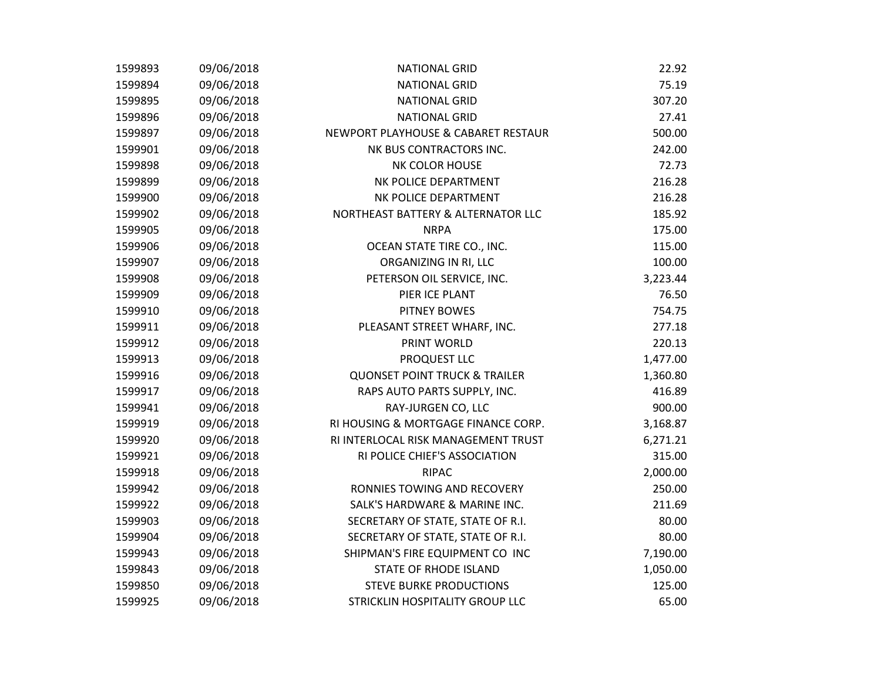| 1599893 | 09/06/2018 | <b>NATIONAL GRID</b>                     | 22.92    |
|---------|------------|------------------------------------------|----------|
| 1599894 | 09/06/2018 | <b>NATIONAL GRID</b>                     | 75.19    |
| 1599895 | 09/06/2018 | <b>NATIONAL GRID</b>                     | 307.20   |
| 1599896 | 09/06/2018 | <b>NATIONAL GRID</b>                     | 27.41    |
| 1599897 | 09/06/2018 | NEWPORT PLAYHOUSE & CABARET RESTAUR      | 500.00   |
| 1599901 | 09/06/2018 | NK BUS CONTRACTORS INC.                  | 242.00   |
| 1599898 | 09/06/2018 | <b>NK COLOR HOUSE</b>                    | 72.73    |
| 1599899 | 09/06/2018 | NK POLICE DEPARTMENT                     | 216.28   |
| 1599900 | 09/06/2018 | NK POLICE DEPARTMENT                     | 216.28   |
| 1599902 | 09/06/2018 | NORTHEAST BATTERY & ALTERNATOR LLC       | 185.92   |
| 1599905 | 09/06/2018 | <b>NRPA</b>                              | 175.00   |
| 1599906 | 09/06/2018 | OCEAN STATE TIRE CO., INC.               | 115.00   |
| 1599907 | 09/06/2018 | ORGANIZING IN RI, LLC                    | 100.00   |
| 1599908 | 09/06/2018 | PETERSON OIL SERVICE, INC.               | 3,223.44 |
| 1599909 | 09/06/2018 | PIER ICE PLANT                           | 76.50    |
| 1599910 | 09/06/2018 | <b>PITNEY BOWES</b>                      | 754.75   |
| 1599911 | 09/06/2018 | PLEASANT STREET WHARF, INC.              | 277.18   |
| 1599912 | 09/06/2018 | PRINT WORLD                              | 220.13   |
| 1599913 | 09/06/2018 | PROQUEST LLC                             | 1,477.00 |
| 1599916 | 09/06/2018 | <b>QUONSET POINT TRUCK &amp; TRAILER</b> | 1,360.80 |
| 1599917 | 09/06/2018 | RAPS AUTO PARTS SUPPLY, INC.             | 416.89   |
| 1599941 | 09/06/2018 | RAY-JURGEN CO, LLC                       | 900.00   |
| 1599919 | 09/06/2018 | RI HOUSING & MORTGAGE FINANCE CORP.      | 3,168.87 |
| 1599920 | 09/06/2018 | RI INTERLOCAL RISK MANAGEMENT TRUST      | 6,271.21 |
| 1599921 | 09/06/2018 | RI POLICE CHIEF'S ASSOCIATION            | 315.00   |
| 1599918 | 09/06/2018 | <b>RIPAC</b>                             | 2,000.00 |
| 1599942 | 09/06/2018 | RONNIES TOWING AND RECOVERY              | 250.00   |
| 1599922 | 09/06/2018 | SALK'S HARDWARE & MARINE INC.            | 211.69   |
| 1599903 | 09/06/2018 | SECRETARY OF STATE, STATE OF R.I.        | 80.00    |
| 1599904 | 09/06/2018 | SECRETARY OF STATE, STATE OF R.I.        | 80.00    |
| 1599943 | 09/06/2018 | SHIPMAN'S FIRE EQUIPMENT CO INC          | 7,190.00 |
| 1599843 | 09/06/2018 | <b>STATE OF RHODE ISLAND</b>             | 1,050.00 |
| 1599850 | 09/06/2018 | <b>STEVE BURKE PRODUCTIONS</b>           | 125.00   |
| 1599925 | 09/06/2018 | STRICKLIN HOSPITALITY GROUP LLC          | 65.00    |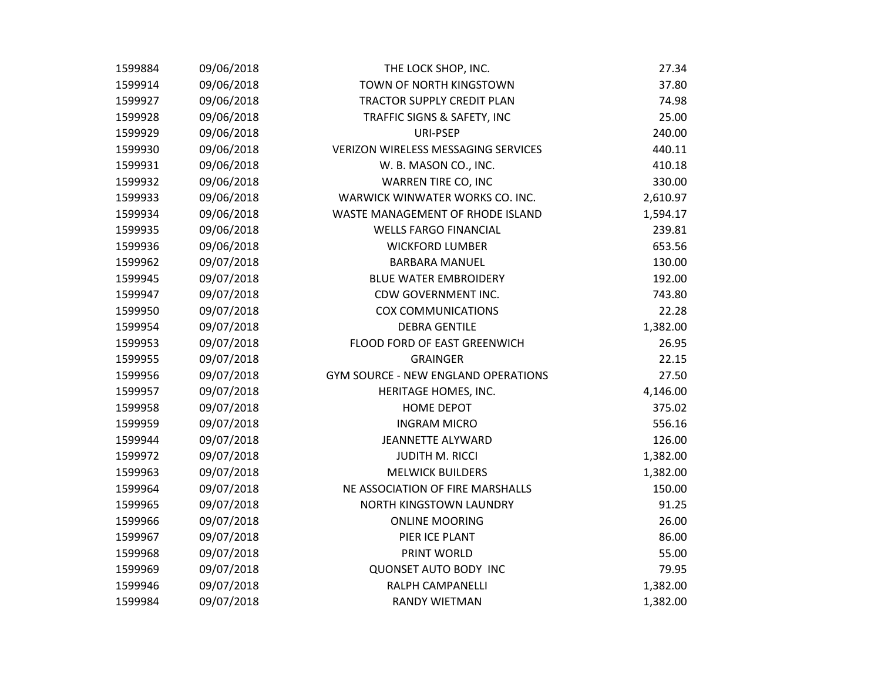| 1599884 | 09/06/2018 | THE LOCK SHOP, INC.                        | 27.34    |
|---------|------------|--------------------------------------------|----------|
| 1599914 | 09/06/2018 | TOWN OF NORTH KINGSTOWN                    | 37.80    |
| 1599927 | 09/06/2018 | <b>TRACTOR SUPPLY CREDIT PLAN</b>          | 74.98    |
| 1599928 | 09/06/2018 | TRAFFIC SIGNS & SAFETY, INC                | 25.00    |
| 1599929 | 09/06/2018 | URI-PSEP                                   | 240.00   |
| 1599930 | 09/06/2018 | <b>VERIZON WIRELESS MESSAGING SERVICES</b> | 440.11   |
| 1599931 | 09/06/2018 | W. B. MASON CO., INC.                      | 410.18   |
| 1599932 | 09/06/2018 | WARREN TIRE CO, INC                        | 330.00   |
| 1599933 | 09/06/2018 | WARWICK WINWATER WORKS CO. INC.            | 2,610.97 |
| 1599934 | 09/06/2018 | WASTE MANAGEMENT OF RHODE ISLAND           | 1,594.17 |
| 1599935 | 09/06/2018 | <b>WELLS FARGO FINANCIAL</b>               | 239.81   |
| 1599936 | 09/06/2018 | <b>WICKFORD LUMBER</b>                     | 653.56   |
| 1599962 | 09/07/2018 | <b>BARBARA MANUEL</b>                      | 130.00   |
| 1599945 | 09/07/2018 | <b>BLUE WATER EMBROIDERY</b>               | 192.00   |
| 1599947 | 09/07/2018 | CDW GOVERNMENT INC.                        | 743.80   |
| 1599950 | 09/07/2018 | <b>COX COMMUNICATIONS</b>                  | 22.28    |
| 1599954 | 09/07/2018 | <b>DEBRA GENTILE</b>                       | 1,382.00 |
| 1599953 | 09/07/2018 | FLOOD FORD OF EAST GREENWICH               | 26.95    |
| 1599955 | 09/07/2018 | <b>GRAINGER</b>                            | 22.15    |
| 1599956 | 09/07/2018 | <b>GYM SOURCE - NEW ENGLAND OPERATIONS</b> | 27.50    |
| 1599957 | 09/07/2018 | HERITAGE HOMES, INC.                       | 4,146.00 |
| 1599958 | 09/07/2018 | <b>HOME DEPOT</b>                          | 375.02   |
| 1599959 | 09/07/2018 | <b>INGRAM MICRO</b>                        | 556.16   |
| 1599944 | 09/07/2018 | <b>JEANNETTE ALYWARD</b>                   | 126.00   |
| 1599972 | 09/07/2018 | <b>JUDITH M. RICCI</b>                     | 1,382.00 |
| 1599963 | 09/07/2018 | <b>MELWICK BUILDERS</b>                    | 1,382.00 |
| 1599964 | 09/07/2018 | NE ASSOCIATION OF FIRE MARSHALLS           | 150.00   |
| 1599965 | 09/07/2018 | NORTH KINGSTOWN LAUNDRY                    | 91.25    |
| 1599966 | 09/07/2018 | <b>ONLINE MOORING</b>                      | 26.00    |
| 1599967 | 09/07/2018 | PIER ICE PLANT                             | 86.00    |
| 1599968 | 09/07/2018 | PRINT WORLD                                | 55.00    |
| 1599969 | 09/07/2018 | <b>QUONSET AUTO BODY INC</b>               | 79.95    |
| 1599946 | 09/07/2018 | RALPH CAMPANELLI                           | 1,382.00 |
| 1599984 | 09/07/2018 | <b>RANDY WIETMAN</b>                       | 1,382.00 |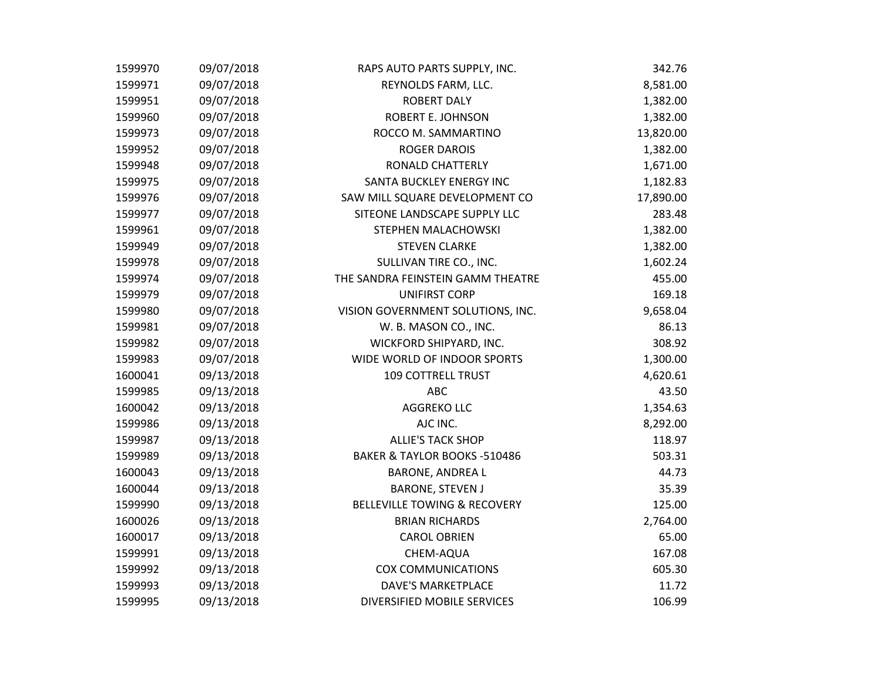| 1599970 | 09/07/2018 | RAPS AUTO PARTS SUPPLY, INC.            | 342.76    |
|---------|------------|-----------------------------------------|-----------|
| 1599971 | 09/07/2018 | REYNOLDS FARM, LLC.                     | 8,581.00  |
| 1599951 | 09/07/2018 | <b>ROBERT DALY</b>                      | 1,382.00  |
| 1599960 | 09/07/2018 | ROBERT E. JOHNSON                       | 1,382.00  |
| 1599973 | 09/07/2018 | ROCCO M. SAMMARTINO                     | 13,820.00 |
| 1599952 | 09/07/2018 | <b>ROGER DAROIS</b>                     | 1,382.00  |
| 1599948 | 09/07/2018 | <b>RONALD CHATTERLY</b>                 | 1,671.00  |
| 1599975 | 09/07/2018 | SANTA BUCKLEY ENERGY INC                | 1,182.83  |
| 1599976 | 09/07/2018 | SAW MILL SQUARE DEVELOPMENT CO          | 17,890.00 |
| 1599977 | 09/07/2018 | SITEONE LANDSCAPE SUPPLY LLC            | 283.48    |
| 1599961 | 09/07/2018 | STEPHEN MALACHOWSKI                     | 1,382.00  |
| 1599949 | 09/07/2018 | <b>STEVEN CLARKE</b>                    | 1,382.00  |
| 1599978 | 09/07/2018 | SULLIVAN TIRE CO., INC.                 | 1,602.24  |
| 1599974 | 09/07/2018 | THE SANDRA FEINSTEIN GAMM THEATRE       | 455.00    |
| 1599979 | 09/07/2018 | <b>UNIFIRST CORP</b>                    | 169.18    |
| 1599980 | 09/07/2018 | VISION GOVERNMENT SOLUTIONS, INC.       | 9,658.04  |
| 1599981 | 09/07/2018 | W. B. MASON CO., INC.                   | 86.13     |
| 1599982 | 09/07/2018 | WICKFORD SHIPYARD, INC.                 | 308.92    |
| 1599983 | 09/07/2018 | WIDE WORLD OF INDOOR SPORTS             | 1,300.00  |
| 1600041 | 09/13/2018 | <b>109 COTTRELL TRUST</b>               | 4,620.61  |
| 1599985 | 09/13/2018 | <b>ABC</b>                              | 43.50     |
| 1600042 | 09/13/2018 | <b>AGGREKO LLC</b>                      | 1,354.63  |
| 1599986 | 09/13/2018 | AJC INC.                                | 8,292.00  |
| 1599987 | 09/13/2018 | <b>ALLIE'S TACK SHOP</b>                | 118.97    |
| 1599989 | 09/13/2018 | BAKER & TAYLOR BOOKS -510486            | 503.31    |
| 1600043 | 09/13/2018 | <b>BARONE, ANDREA L</b>                 | 44.73     |
| 1600044 | 09/13/2018 | <b>BARONE, STEVEN J</b>                 | 35.39     |
| 1599990 | 09/13/2018 | <b>BELLEVILLE TOWING &amp; RECOVERY</b> | 125.00    |
| 1600026 | 09/13/2018 | <b>BRIAN RICHARDS</b>                   | 2,764.00  |
| 1600017 | 09/13/2018 | <b>CAROL OBRIEN</b>                     | 65.00     |
| 1599991 | 09/13/2018 | CHEM-AQUA                               | 167.08    |
| 1599992 | 09/13/2018 | <b>COX COMMUNICATIONS</b>               | 605.30    |
| 1599993 | 09/13/2018 | <b>DAVE'S MARKETPLACE</b>               | 11.72     |
| 1599995 | 09/13/2018 | DIVERSIFIED MOBILE SERVICES             | 106.99    |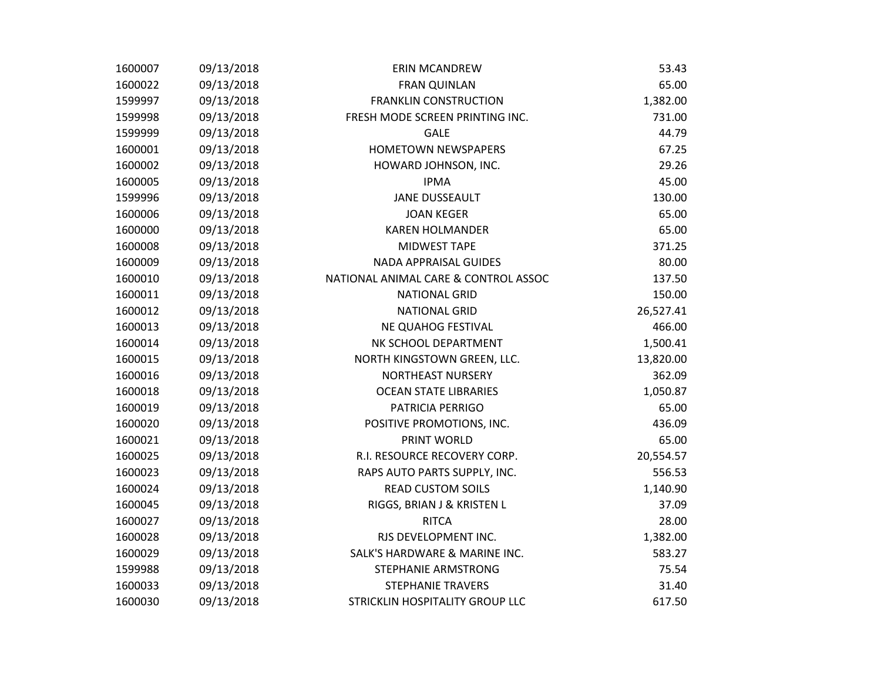| 1600007 | 09/13/2018 | <b>ERIN MCANDREW</b>                 | 53.43     |
|---------|------------|--------------------------------------|-----------|
| 1600022 | 09/13/2018 | <b>FRAN QUINLAN</b>                  | 65.00     |
| 1599997 | 09/13/2018 | <b>FRANKLIN CONSTRUCTION</b>         | 1,382.00  |
| 1599998 | 09/13/2018 | FRESH MODE SCREEN PRINTING INC.      | 731.00    |
| 1599999 | 09/13/2018 | <b>GALE</b>                          | 44.79     |
| 1600001 | 09/13/2018 | <b>HOMETOWN NEWSPAPERS</b>           | 67.25     |
| 1600002 | 09/13/2018 | HOWARD JOHNSON, INC.                 | 29.26     |
| 1600005 | 09/13/2018 | <b>IPMA</b>                          | 45.00     |
| 1599996 | 09/13/2018 | <b>JANE DUSSEAULT</b>                | 130.00    |
| 1600006 | 09/13/2018 | <b>JOAN KEGER</b>                    | 65.00     |
| 1600000 | 09/13/2018 | <b>KAREN HOLMANDER</b>               | 65.00     |
| 1600008 | 09/13/2018 | <b>MIDWEST TAPE</b>                  | 371.25    |
| 1600009 | 09/13/2018 | <b>NADA APPRAISAL GUIDES</b>         | 80.00     |
| 1600010 | 09/13/2018 | NATIONAL ANIMAL CARE & CONTROL ASSOC | 137.50    |
| 1600011 | 09/13/2018 | <b>NATIONAL GRID</b>                 | 150.00    |
| 1600012 | 09/13/2018 | <b>NATIONAL GRID</b>                 | 26,527.41 |
| 1600013 | 09/13/2018 | NE QUAHOG FESTIVAL                   | 466.00    |
| 1600014 | 09/13/2018 | NK SCHOOL DEPARTMENT                 | 1,500.41  |
| 1600015 | 09/13/2018 | NORTH KINGSTOWN GREEN, LLC.          | 13,820.00 |
| 1600016 | 09/13/2018 | NORTHEAST NURSERY                    | 362.09    |
| 1600018 | 09/13/2018 | <b>OCEAN STATE LIBRARIES</b>         | 1,050.87  |
| 1600019 | 09/13/2018 | PATRICIA PERRIGO                     | 65.00     |
| 1600020 | 09/13/2018 | POSITIVE PROMOTIONS, INC.            | 436.09    |
| 1600021 | 09/13/2018 | PRINT WORLD                          | 65.00     |
| 1600025 | 09/13/2018 | R.I. RESOURCE RECOVERY CORP.         | 20,554.57 |
| 1600023 | 09/13/2018 | RAPS AUTO PARTS SUPPLY, INC.         | 556.53    |
| 1600024 | 09/13/2018 | <b>READ CUSTOM SOILS</b>             | 1,140.90  |
| 1600045 | 09/13/2018 | RIGGS, BRIAN J & KRISTEN L           | 37.09     |
| 1600027 | 09/13/2018 | <b>RITCA</b>                         | 28.00     |
| 1600028 | 09/13/2018 | RJS DEVELOPMENT INC.                 | 1,382.00  |
| 1600029 | 09/13/2018 | SALK'S HARDWARE & MARINE INC.        | 583.27    |
| 1599988 | 09/13/2018 | STEPHANIE ARMSTRONG                  | 75.54     |
| 1600033 | 09/13/2018 | <b>STEPHANIE TRAVERS</b>             | 31.40     |
| 1600030 | 09/13/2018 | STRICKLIN HOSPITALITY GROUP LLC      | 617.50    |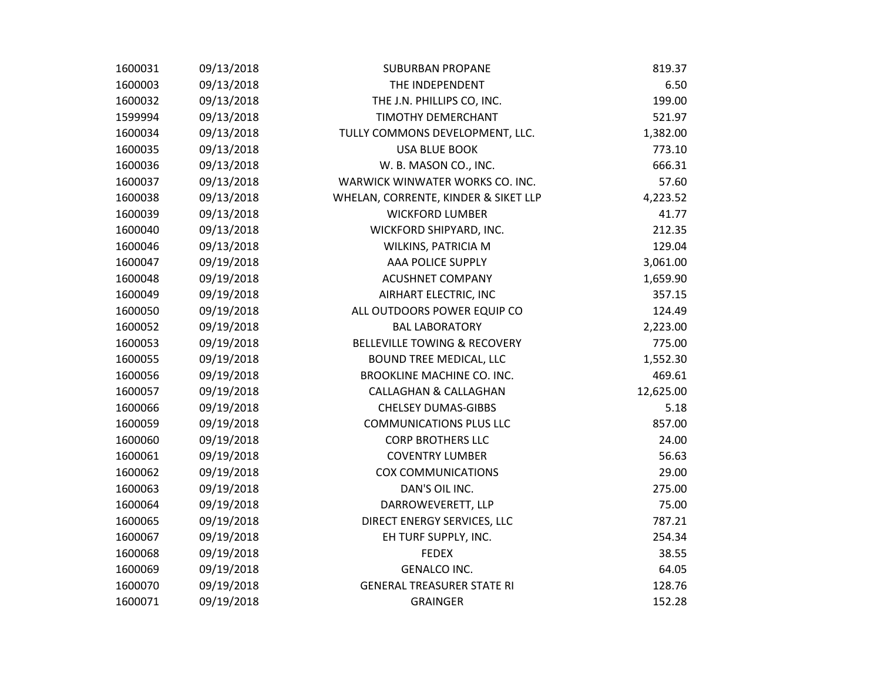| 1600031 | 09/13/2018 | <b>SUBURBAN PROPANE</b>                 | 819.37    |
|---------|------------|-----------------------------------------|-----------|
| 1600003 | 09/13/2018 | THE INDEPENDENT                         | 6.50      |
| 1600032 | 09/13/2018 | THE J.N. PHILLIPS CO, INC.              | 199.00    |
| 1599994 | 09/13/2018 | TIMOTHY DEMERCHANT                      | 521.97    |
| 1600034 | 09/13/2018 | TULLY COMMONS DEVELOPMENT, LLC.         | 1,382.00  |
| 1600035 | 09/13/2018 | <b>USA BLUE BOOK</b>                    | 773.10    |
| 1600036 | 09/13/2018 | W. B. MASON CO., INC.                   | 666.31    |
| 1600037 | 09/13/2018 | WARWICK WINWATER WORKS CO. INC.         | 57.60     |
| 1600038 | 09/13/2018 | WHELAN, CORRENTE, KINDER & SIKET LLP    | 4,223.52  |
| 1600039 | 09/13/2018 | <b>WICKFORD LUMBER</b>                  | 41.77     |
| 1600040 | 09/13/2018 | WICKFORD SHIPYARD, INC.                 | 212.35    |
| 1600046 | 09/13/2018 | WILKINS, PATRICIA M                     | 129.04    |
| 1600047 | 09/19/2018 | AAA POLICE SUPPLY                       | 3,061.00  |
| 1600048 | 09/19/2018 | <b>ACUSHNET COMPANY</b>                 | 1,659.90  |
| 1600049 | 09/19/2018 | AIRHART ELECTRIC, INC                   | 357.15    |
| 1600050 | 09/19/2018 | ALL OUTDOORS POWER EQUIP CO             | 124.49    |
| 1600052 | 09/19/2018 | <b>BAL LABORATORY</b>                   | 2,223.00  |
| 1600053 | 09/19/2018 | <b>BELLEVILLE TOWING &amp; RECOVERY</b> | 775.00    |
| 1600055 | 09/19/2018 | <b>BOUND TREE MEDICAL, LLC</b>          | 1,552.30  |
| 1600056 | 09/19/2018 | BROOKLINE MACHINE CO. INC.              | 469.61    |
| 1600057 | 09/19/2018 | <b>CALLAGHAN &amp; CALLAGHAN</b>        | 12,625.00 |
| 1600066 | 09/19/2018 | <b>CHELSEY DUMAS-GIBBS</b>              | 5.18      |
| 1600059 | 09/19/2018 | <b>COMMUNICATIONS PLUS LLC</b>          | 857.00    |
| 1600060 | 09/19/2018 | <b>CORP BROTHERS LLC</b>                | 24.00     |
| 1600061 | 09/19/2018 | <b>COVENTRY LUMBER</b>                  | 56.63     |
| 1600062 | 09/19/2018 | <b>COX COMMUNICATIONS</b>               | 29.00     |
| 1600063 | 09/19/2018 | DAN'S OIL INC.                          | 275.00    |
| 1600064 | 09/19/2018 | DARROWEVERETT, LLP                      | 75.00     |
| 1600065 | 09/19/2018 | DIRECT ENERGY SERVICES, LLC             | 787.21    |
| 1600067 | 09/19/2018 | EH TURF SUPPLY, INC.                    | 254.34    |
| 1600068 | 09/19/2018 | <b>FEDEX</b>                            | 38.55     |
| 1600069 | 09/19/2018 | <b>GENALCO INC.</b>                     | 64.05     |
| 1600070 | 09/19/2018 | <b>GENERAL TREASURER STATE RI</b>       | 128.76    |
| 1600071 | 09/19/2018 | <b>GRAINGER</b>                         | 152.28    |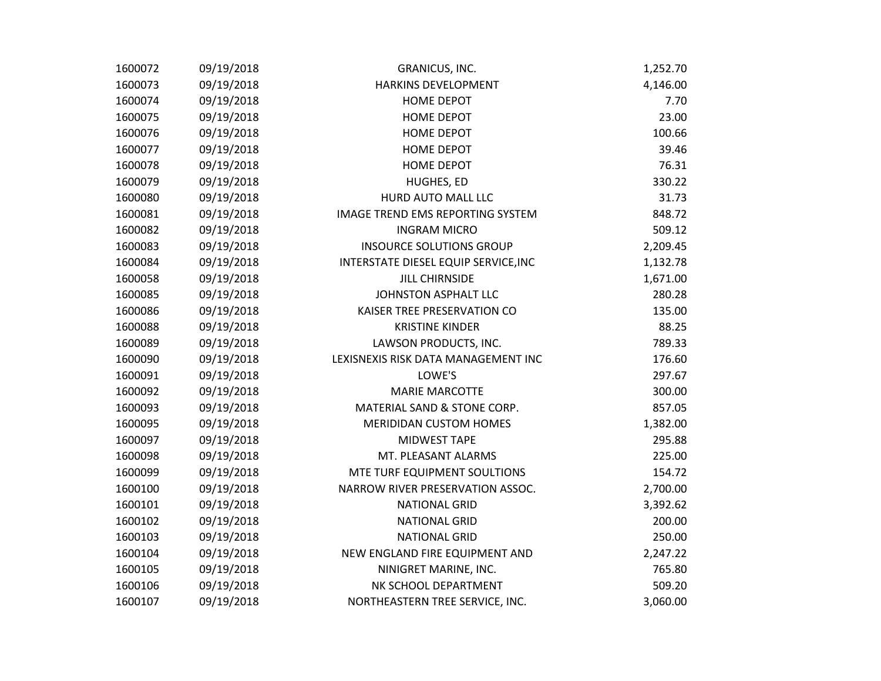| 1600072 | 09/19/2018 | GRANICUS, INC.                       | 1,252.70 |
|---------|------------|--------------------------------------|----------|
| 1600073 | 09/19/2018 | HARKINS DEVELOPMENT                  | 4,146.00 |
| 1600074 | 09/19/2018 | <b>HOME DEPOT</b>                    | 7.70     |
| 1600075 | 09/19/2018 | <b>HOME DEPOT</b>                    | 23.00    |
| 1600076 | 09/19/2018 | <b>HOME DEPOT</b>                    | 100.66   |
| 1600077 | 09/19/2018 | HOME DEPOT                           | 39.46    |
| 1600078 | 09/19/2018 | <b>HOME DEPOT</b>                    | 76.31    |
| 1600079 | 09/19/2018 | HUGHES, ED                           | 330.22   |
| 1600080 | 09/19/2018 | HURD AUTO MALL LLC                   | 31.73    |
| 1600081 | 09/19/2018 | IMAGE TREND EMS REPORTING SYSTEM     | 848.72   |
| 1600082 | 09/19/2018 | <b>INGRAM MICRO</b>                  | 509.12   |
| 1600083 | 09/19/2018 | <b>INSOURCE SOLUTIONS GROUP</b>      | 2,209.45 |
| 1600084 | 09/19/2018 | INTERSTATE DIESEL EQUIP SERVICE, INC | 1,132.78 |
| 1600058 | 09/19/2018 | <b>JILL CHIRNSIDE</b>                | 1,671.00 |
| 1600085 | 09/19/2018 | JOHNSTON ASPHALT LLC                 | 280.28   |
| 1600086 | 09/19/2018 | KAISER TREE PRESERVATION CO          | 135.00   |
| 1600088 | 09/19/2018 | <b>KRISTINE KINDER</b>               | 88.25    |
| 1600089 | 09/19/2018 | LAWSON PRODUCTS, INC.                | 789.33   |
| 1600090 | 09/19/2018 | LEXISNEXIS RISK DATA MANAGEMENT INC  | 176.60   |
| 1600091 | 09/19/2018 | LOWE'S                               | 297.67   |
| 1600092 | 09/19/2018 | <b>MARIE MARCOTTE</b>                | 300.00   |
| 1600093 | 09/19/2018 | MATERIAL SAND & STONE CORP.          | 857.05   |
| 1600095 | 09/19/2018 | <b>MERIDIDAN CUSTOM HOMES</b>        | 1,382.00 |
| 1600097 | 09/19/2018 | MIDWEST TAPE                         | 295.88   |
| 1600098 | 09/19/2018 | MT. PLEASANT ALARMS                  | 225.00   |
| 1600099 | 09/19/2018 | MTE TURF EQUIPMENT SOULTIONS         | 154.72   |
| 1600100 | 09/19/2018 | NARROW RIVER PRESERVATION ASSOC.     | 2,700.00 |
| 1600101 | 09/19/2018 | <b>NATIONAL GRID</b>                 | 3,392.62 |
| 1600102 | 09/19/2018 | <b>NATIONAL GRID</b>                 | 200.00   |
| 1600103 | 09/19/2018 | <b>NATIONAL GRID</b>                 | 250.00   |
| 1600104 | 09/19/2018 | NEW ENGLAND FIRE EQUIPMENT AND       | 2,247.22 |
| 1600105 | 09/19/2018 | NINIGRET MARINE, INC.                | 765.80   |
| 1600106 | 09/19/2018 | NK SCHOOL DEPARTMENT                 | 509.20   |
| 1600107 | 09/19/2018 | NORTHEASTERN TREE SERVICE, INC.      | 3,060.00 |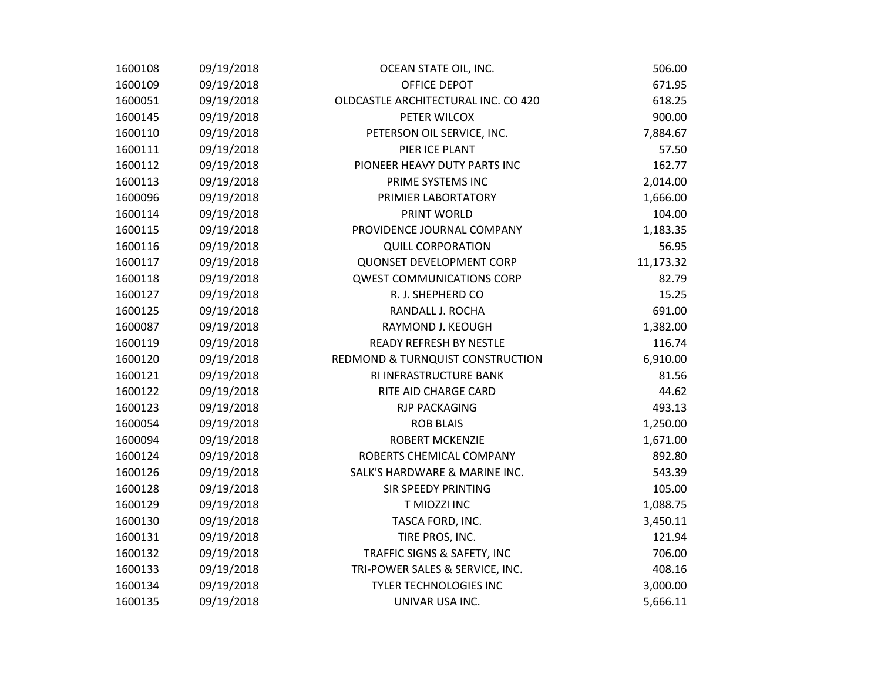| 1600108 | 09/19/2018 | OCEAN STATE OIL, INC.               | 506.00    |
|---------|------------|-------------------------------------|-----------|
| 1600109 | 09/19/2018 | OFFICE DEPOT                        | 671.95    |
| 1600051 | 09/19/2018 | OLDCASTLE ARCHITECTURAL INC. CO 420 | 618.25    |
| 1600145 | 09/19/2018 | PETER WILCOX                        | 900.00    |
| 1600110 | 09/19/2018 | PETERSON OIL SERVICE, INC.          | 7,884.67  |
| 1600111 | 09/19/2018 | PIER ICE PLANT                      | 57.50     |
| 1600112 | 09/19/2018 | PIONEER HEAVY DUTY PARTS INC        | 162.77    |
| 1600113 | 09/19/2018 | PRIME SYSTEMS INC                   | 2,014.00  |
| 1600096 | 09/19/2018 | PRIMIER LABORTATORY                 | 1,666.00  |
| 1600114 | 09/19/2018 | PRINT WORLD                         | 104.00    |
| 1600115 | 09/19/2018 | PROVIDENCE JOURNAL COMPANY          | 1,183.35  |
| 1600116 | 09/19/2018 | <b>QUILL CORPORATION</b>            | 56.95     |
| 1600117 | 09/19/2018 | <b>QUONSET DEVELOPMENT CORP</b>     | 11,173.32 |
| 1600118 | 09/19/2018 | <b>QWEST COMMUNICATIONS CORP</b>    | 82.79     |
| 1600127 | 09/19/2018 | R. J. SHEPHERD CO                   | 15.25     |
| 1600125 | 09/19/2018 | RANDALL J. ROCHA                    | 691.00    |
| 1600087 | 09/19/2018 | RAYMOND J. KEOUGH                   | 1,382.00  |
| 1600119 | 09/19/2018 | <b>READY REFRESH BY NESTLE</b>      | 116.74    |
| 1600120 | 09/19/2018 | REDMOND & TURNQUIST CONSTRUCTION    | 6,910.00  |
| 1600121 | 09/19/2018 | RI INFRASTRUCTURE BANK              | 81.56     |
| 1600122 | 09/19/2018 | RITE AID CHARGE CARD                | 44.62     |
| 1600123 | 09/19/2018 | <b>RJP PACKAGING</b>                | 493.13    |
| 1600054 | 09/19/2018 | <b>ROB BLAIS</b>                    | 1,250.00  |
| 1600094 | 09/19/2018 | <b>ROBERT MCKENZIE</b>              | 1,671.00  |
| 1600124 | 09/19/2018 | ROBERTS CHEMICAL COMPANY            | 892.80    |
| 1600126 | 09/19/2018 | SALK'S HARDWARE & MARINE INC.       | 543.39    |
| 1600128 | 09/19/2018 | <b>SIR SPEEDY PRINTING</b>          | 105.00    |
| 1600129 | 09/19/2018 | T MIOZZI INC                        | 1,088.75  |
| 1600130 | 09/19/2018 | TASCA FORD, INC.                    | 3,450.11  |
| 1600131 | 09/19/2018 | TIRE PROS, INC.                     | 121.94    |
| 1600132 | 09/19/2018 | TRAFFIC SIGNS & SAFETY, INC         | 706.00    |
| 1600133 | 09/19/2018 | TRI-POWER SALES & SERVICE, INC.     | 408.16    |
| 1600134 | 09/19/2018 | <b>TYLER TECHNOLOGIES INC</b>       | 3,000.00  |
| 1600135 | 09/19/2018 | UNIVAR USA INC.                     | 5,666.11  |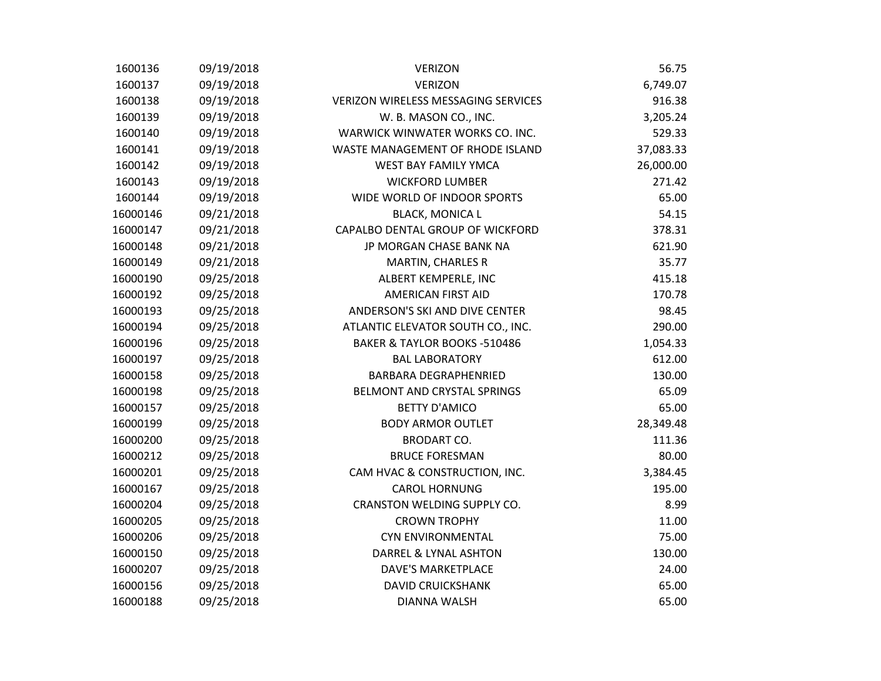| 1600136  | 09/19/2018 | <b>VERIZON</b>                             | 56.75     |
|----------|------------|--------------------------------------------|-----------|
| 1600137  | 09/19/2018 | <b>VERIZON</b>                             | 6,749.07  |
| 1600138  | 09/19/2018 | <b>VERIZON WIRELESS MESSAGING SERVICES</b> | 916.38    |
| 1600139  | 09/19/2018 | W. B. MASON CO., INC.                      | 3,205.24  |
| 1600140  | 09/19/2018 | WARWICK WINWATER WORKS CO. INC.            | 529.33    |
| 1600141  | 09/19/2018 | WASTE MANAGEMENT OF RHODE ISLAND           | 37,083.33 |
| 1600142  | 09/19/2018 | <b>WEST BAY FAMILY YMCA</b>                | 26,000.00 |
| 1600143  | 09/19/2018 | <b>WICKFORD LUMBER</b>                     | 271.42    |
| 1600144  | 09/19/2018 | WIDE WORLD OF INDOOR SPORTS                | 65.00     |
| 16000146 | 09/21/2018 | <b>BLACK, MONICA L</b>                     | 54.15     |
| 16000147 | 09/21/2018 | CAPALBO DENTAL GROUP OF WICKFORD           | 378.31    |
| 16000148 | 09/21/2018 | JP MORGAN CHASE BANK NA                    | 621.90    |
| 16000149 | 09/21/2018 | <b>MARTIN, CHARLES R</b>                   | 35.77     |
| 16000190 | 09/25/2018 | ALBERT KEMPERLE, INC                       | 415.18    |
| 16000192 | 09/25/2018 | <b>AMERICAN FIRST AID</b>                  | 170.78    |
| 16000193 | 09/25/2018 | ANDERSON'S SKI AND DIVE CENTER             | 98.45     |
| 16000194 | 09/25/2018 | ATLANTIC ELEVATOR SOUTH CO., INC.          | 290.00    |
| 16000196 | 09/25/2018 | BAKER & TAYLOR BOOKS -510486               | 1,054.33  |
| 16000197 | 09/25/2018 | <b>BAL LABORATORY</b>                      | 612.00    |
| 16000158 | 09/25/2018 | <b>BARBARA DEGRAPHENRIED</b>               | 130.00    |
| 16000198 | 09/25/2018 | BELMONT AND CRYSTAL SPRINGS                | 65.09     |
| 16000157 | 09/25/2018 | <b>BETTY D'AMICO</b>                       | 65.00     |
| 16000199 | 09/25/2018 | <b>BODY ARMOR OUTLET</b>                   | 28,349.48 |
| 16000200 | 09/25/2018 | <b>BRODART CO.</b>                         | 111.36    |
| 16000212 | 09/25/2018 | <b>BRUCE FORESMAN</b>                      | 80.00     |
| 16000201 | 09/25/2018 | CAM HVAC & CONSTRUCTION, INC.              | 3,384.45  |
| 16000167 | 09/25/2018 | <b>CAROL HORNUNG</b>                       | 195.00    |
| 16000204 | 09/25/2018 | CRANSTON WELDING SUPPLY CO.                | 8.99      |
| 16000205 | 09/25/2018 | <b>CROWN TROPHY</b>                        | 11.00     |
| 16000206 | 09/25/2018 | <b>CYN ENVIRONMENTAL</b>                   | 75.00     |
| 16000150 | 09/25/2018 | DARREL & LYNAL ASHTON                      | 130.00    |
| 16000207 | 09/25/2018 | DAVE'S MARKETPLACE                         | 24.00     |
| 16000156 | 09/25/2018 | <b>DAVID CRUICKSHANK</b>                   | 65.00     |
| 16000188 | 09/25/2018 | DIANNA WALSH                               | 65.00     |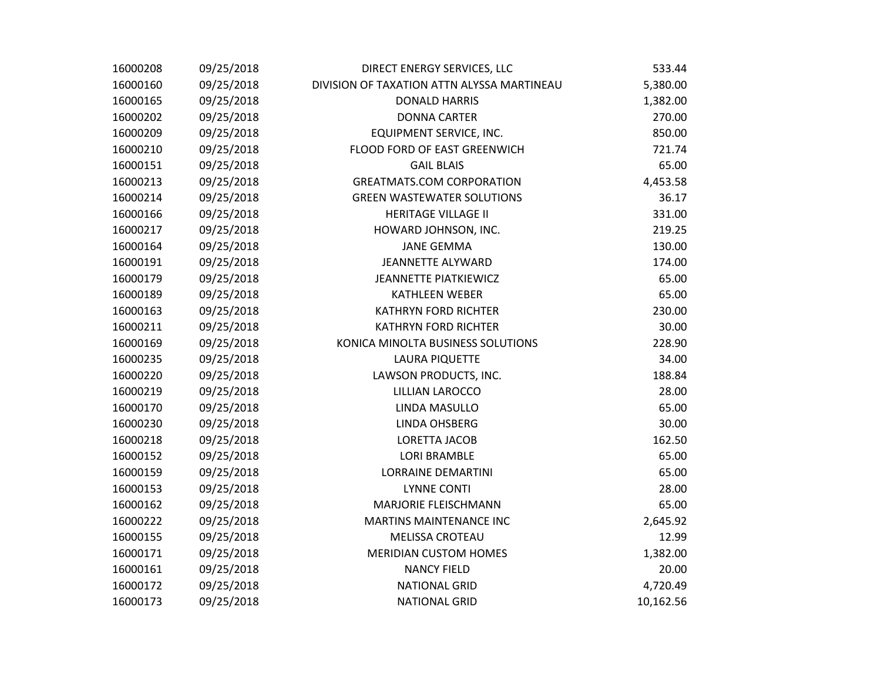| 16000208 | 09/25/2018 | DIRECT ENERGY SERVICES, LLC                | 533.44    |
|----------|------------|--------------------------------------------|-----------|
| 16000160 | 09/25/2018 | DIVISION OF TAXATION ATTN ALYSSA MARTINEAU | 5,380.00  |
| 16000165 | 09/25/2018 | <b>DONALD HARRIS</b>                       | 1,382.00  |
| 16000202 | 09/25/2018 | <b>DONNA CARTER</b>                        | 270.00    |
| 16000209 | 09/25/2018 | EQUIPMENT SERVICE, INC.                    | 850.00    |
| 16000210 | 09/25/2018 | FLOOD FORD OF EAST GREENWICH               | 721.74    |
| 16000151 | 09/25/2018 | <b>GAIL BLAIS</b>                          | 65.00     |
| 16000213 | 09/25/2018 | <b>GREATMATS.COM CORPORATION</b>           | 4,453.58  |
| 16000214 | 09/25/2018 | <b>GREEN WASTEWATER SOLUTIONS</b>          | 36.17     |
| 16000166 | 09/25/2018 | <b>HERITAGE VILLAGE II</b>                 | 331.00    |
| 16000217 | 09/25/2018 | HOWARD JOHNSON, INC.                       | 219.25    |
| 16000164 | 09/25/2018 | <b>JANE GEMMA</b>                          | 130.00    |
| 16000191 | 09/25/2018 | <b>JEANNETTE ALYWARD</b>                   | 174.00    |
| 16000179 | 09/25/2018 | <b>JEANNETTE PIATKIEWICZ</b>               | 65.00     |
| 16000189 | 09/25/2018 | <b>KATHLEEN WEBER</b>                      | 65.00     |
| 16000163 | 09/25/2018 | <b>KATHRYN FORD RICHTER</b>                | 230.00    |
| 16000211 | 09/25/2018 | <b>KATHRYN FORD RICHTER</b>                | 30.00     |
| 16000169 | 09/25/2018 | KONICA MINOLTA BUSINESS SOLUTIONS          | 228.90    |
| 16000235 | 09/25/2018 | <b>LAURA PIQUETTE</b>                      | 34.00     |
| 16000220 | 09/25/2018 | LAWSON PRODUCTS, INC.                      | 188.84    |
| 16000219 | 09/25/2018 | LILLIAN LAROCCO                            | 28.00     |
| 16000170 | 09/25/2018 | LINDA MASULLO                              | 65.00     |
| 16000230 | 09/25/2018 | <b>LINDA OHSBERG</b>                       | 30.00     |
| 16000218 | 09/25/2018 | LORETTA JACOB                              | 162.50    |
| 16000152 | 09/25/2018 | <b>LORI BRAMBLE</b>                        | 65.00     |
| 16000159 | 09/25/2018 | <b>LORRAINE DEMARTINI</b>                  | 65.00     |
| 16000153 | 09/25/2018 | <b>LYNNE CONTI</b>                         | 28.00     |
| 16000162 | 09/25/2018 | MARJORIE FLEISCHMANN                       | 65.00     |
| 16000222 | 09/25/2018 | <b>MARTINS MAINTENANCE INC</b>             | 2,645.92  |
| 16000155 | 09/25/2018 | <b>MELISSA CROTEAU</b>                     | 12.99     |
| 16000171 | 09/25/2018 | <b>MERIDIAN CUSTOM HOMES</b>               | 1,382.00  |
| 16000161 | 09/25/2018 | <b>NANCY FIELD</b>                         | 20.00     |
| 16000172 | 09/25/2018 | <b>NATIONAL GRID</b>                       | 4,720.49  |
| 16000173 | 09/25/2018 | <b>NATIONAL GRID</b>                       | 10,162.56 |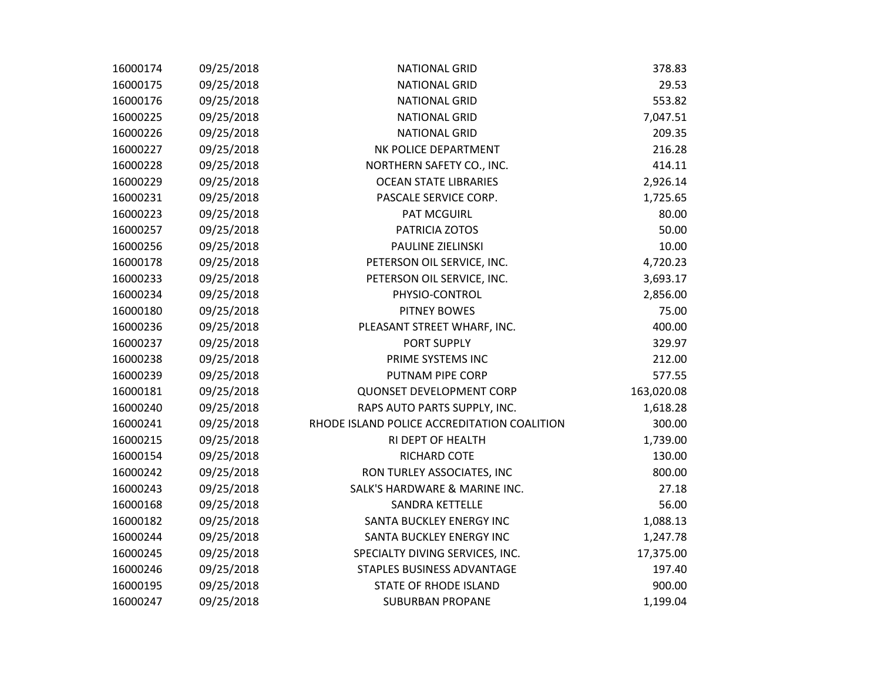| 16000174 | 09/25/2018 | <b>NATIONAL GRID</b>                        | 378.83     |
|----------|------------|---------------------------------------------|------------|
| 16000175 | 09/25/2018 | <b>NATIONAL GRID</b>                        | 29.53      |
| 16000176 | 09/25/2018 | <b>NATIONAL GRID</b>                        | 553.82     |
| 16000225 | 09/25/2018 | <b>NATIONAL GRID</b>                        | 7,047.51   |
| 16000226 | 09/25/2018 | <b>NATIONAL GRID</b>                        | 209.35     |
| 16000227 | 09/25/2018 | NK POLICE DEPARTMENT                        | 216.28     |
| 16000228 | 09/25/2018 | NORTHERN SAFETY CO., INC.                   | 414.11     |
| 16000229 | 09/25/2018 | <b>OCEAN STATE LIBRARIES</b>                | 2,926.14   |
| 16000231 | 09/25/2018 | PASCALE SERVICE CORP.                       | 1,725.65   |
| 16000223 | 09/25/2018 | <b>PAT MCGUIRL</b>                          | 80.00      |
| 16000257 | 09/25/2018 | PATRICIA ZOTOS                              | 50.00      |
| 16000256 | 09/25/2018 | PAULINE ZIELINSKI                           | 10.00      |
| 16000178 | 09/25/2018 | PETERSON OIL SERVICE, INC.                  | 4,720.23   |
| 16000233 | 09/25/2018 | PETERSON OIL SERVICE, INC.                  | 3,693.17   |
| 16000234 | 09/25/2018 | PHYSIO-CONTROL                              | 2,856.00   |
| 16000180 | 09/25/2018 | <b>PITNEY BOWES</b>                         | 75.00      |
| 16000236 | 09/25/2018 | PLEASANT STREET WHARF, INC.                 | 400.00     |
| 16000237 | 09/25/2018 | PORT SUPPLY                                 | 329.97     |
| 16000238 | 09/25/2018 | PRIME SYSTEMS INC                           | 212.00     |
| 16000239 | 09/25/2018 | PUTNAM PIPE CORP                            | 577.55     |
| 16000181 | 09/25/2018 | QUONSET DEVELOPMENT CORP                    | 163,020.08 |
| 16000240 | 09/25/2018 | RAPS AUTO PARTS SUPPLY, INC.                | 1,618.28   |
| 16000241 | 09/25/2018 | RHODE ISLAND POLICE ACCREDITATION COALITION | 300.00     |
| 16000215 | 09/25/2018 | RI DEPT OF HEALTH                           | 1,739.00   |
| 16000154 | 09/25/2018 | RICHARD COTE                                | 130.00     |
| 16000242 | 09/25/2018 | RON TURLEY ASSOCIATES, INC                  | 800.00     |
| 16000243 | 09/25/2018 | SALK'S HARDWARE & MARINE INC.               | 27.18      |
| 16000168 | 09/25/2018 | SANDRA KETTELLE                             | 56.00      |
| 16000182 | 09/25/2018 | SANTA BUCKLEY ENERGY INC                    | 1,088.13   |
| 16000244 | 09/25/2018 | SANTA BUCKLEY ENERGY INC                    | 1,247.78   |
| 16000245 | 09/25/2018 | SPECIALTY DIVING SERVICES, INC.             | 17,375.00  |
| 16000246 | 09/25/2018 | STAPLES BUSINESS ADVANTAGE                  | 197.40     |
| 16000195 | 09/25/2018 | STATE OF RHODE ISLAND                       | 900.00     |
| 16000247 | 09/25/2018 | <b>SUBURBAN PROPANE</b>                     | 1,199.04   |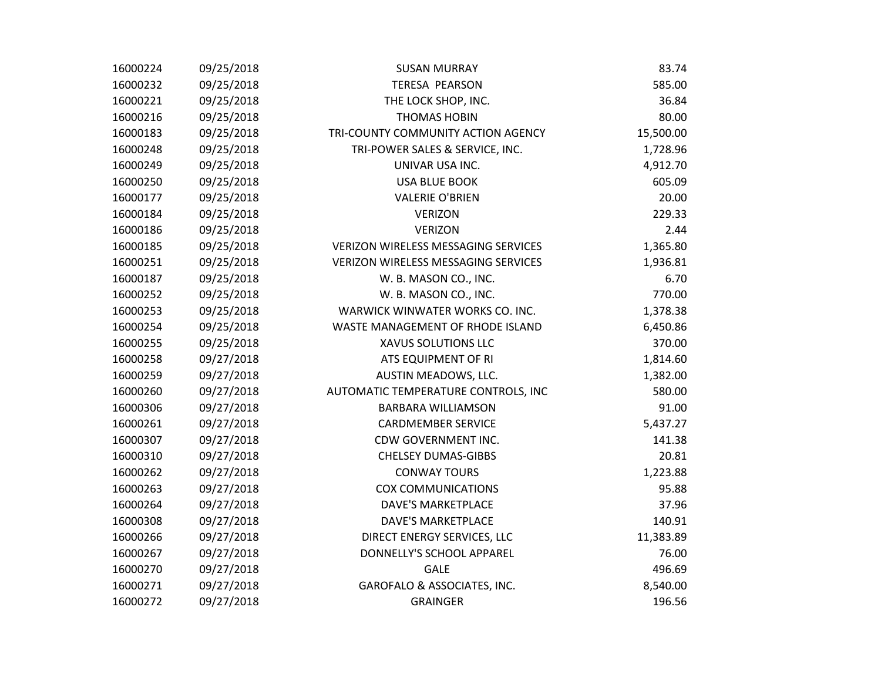| 16000224 | 09/25/2018 | <b>SUSAN MURRAY</b>                        | 83.74     |
|----------|------------|--------------------------------------------|-----------|
| 16000232 | 09/25/2018 | TERESA PEARSON                             | 585.00    |
| 16000221 | 09/25/2018 | THE LOCK SHOP, INC.                        | 36.84     |
| 16000216 | 09/25/2018 | <b>THOMAS HOBIN</b>                        | 80.00     |
| 16000183 | 09/25/2018 | TRI-COUNTY COMMUNITY ACTION AGENCY         | 15,500.00 |
| 16000248 | 09/25/2018 | TRI-POWER SALES & SERVICE, INC.            | 1,728.96  |
| 16000249 | 09/25/2018 | UNIVAR USA INC.                            | 4,912.70  |
| 16000250 | 09/25/2018 | <b>USA BLUE BOOK</b>                       | 605.09    |
| 16000177 | 09/25/2018 | <b>VALERIE O'BRIEN</b>                     | 20.00     |
| 16000184 | 09/25/2018 | <b>VERIZON</b>                             | 229.33    |
| 16000186 | 09/25/2018 | <b>VERIZON</b>                             | 2.44      |
| 16000185 | 09/25/2018 | VERIZON WIRELESS MESSAGING SERVICES        | 1,365.80  |
| 16000251 | 09/25/2018 | <b>VERIZON WIRELESS MESSAGING SERVICES</b> | 1,936.81  |
| 16000187 | 09/25/2018 | W. B. MASON CO., INC.                      | 6.70      |
| 16000252 | 09/25/2018 | W. B. MASON CO., INC.                      | 770.00    |
| 16000253 | 09/25/2018 | WARWICK WINWATER WORKS CO. INC.            | 1,378.38  |
| 16000254 | 09/25/2018 | WASTE MANAGEMENT OF RHODE ISLAND           | 6,450.86  |
| 16000255 | 09/25/2018 | XAVUS SOLUTIONS LLC                        | 370.00    |
| 16000258 | 09/27/2018 | ATS EQUIPMENT OF RI                        | 1,814.60  |
| 16000259 | 09/27/2018 | AUSTIN MEADOWS, LLC.                       | 1,382.00  |
| 16000260 | 09/27/2018 | AUTOMATIC TEMPERATURE CONTROLS, INC        | 580.00    |
| 16000306 | 09/27/2018 | <b>BARBARA WILLIAMSON</b>                  | 91.00     |
| 16000261 | 09/27/2018 | <b>CARDMEMBER SERVICE</b>                  | 5,437.27  |
| 16000307 | 09/27/2018 | CDW GOVERNMENT INC.                        | 141.38    |
| 16000310 | 09/27/2018 | <b>CHELSEY DUMAS-GIBBS</b>                 | 20.81     |
| 16000262 | 09/27/2018 | <b>CONWAY TOURS</b>                        | 1,223.88  |
| 16000263 | 09/27/2018 | <b>COX COMMUNICATIONS</b>                  | 95.88     |
| 16000264 | 09/27/2018 | <b>DAVE'S MARKETPLACE</b>                  | 37.96     |
| 16000308 | 09/27/2018 | <b>DAVE'S MARKETPLACE</b>                  | 140.91    |
| 16000266 | 09/27/2018 | DIRECT ENERGY SERVICES, LLC                | 11,383.89 |
| 16000267 | 09/27/2018 | DONNELLY'S SCHOOL APPAREL                  | 76.00     |
| 16000270 | 09/27/2018 | <b>GALE</b>                                | 496.69    |
| 16000271 | 09/27/2018 | GAROFALO & ASSOCIATES, INC.                | 8,540.00  |
| 16000272 | 09/27/2018 | <b>GRAINGER</b>                            | 196.56    |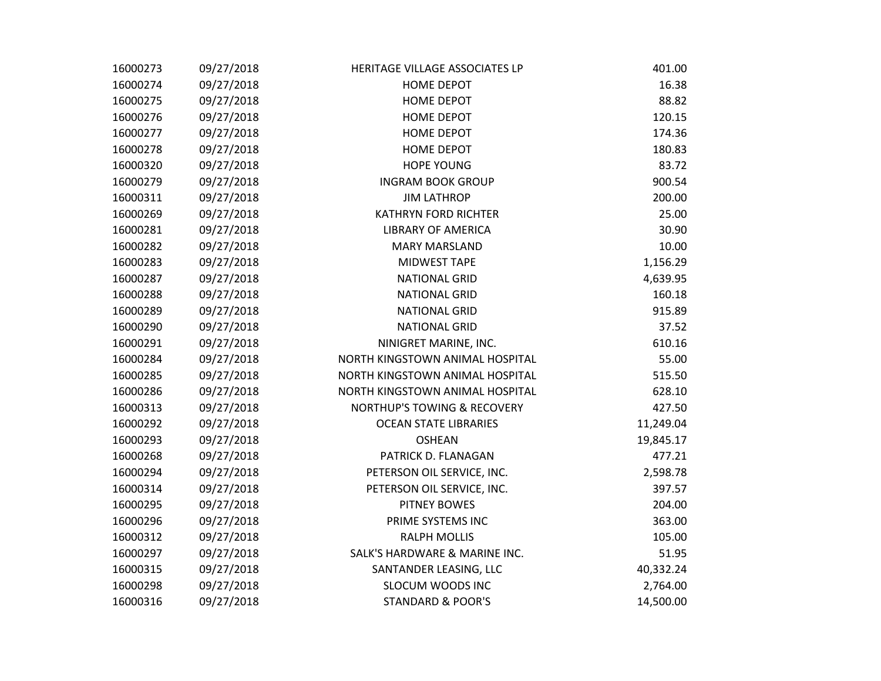| 16000273 | 09/27/2018 | HERITAGE VILLAGE ASSOCIATES LP         | 401.00    |
|----------|------------|----------------------------------------|-----------|
| 16000274 | 09/27/2018 | HOME DEPOT                             | 16.38     |
| 16000275 | 09/27/2018 | <b>HOME DEPOT</b>                      | 88.82     |
| 16000276 | 09/27/2018 | <b>HOME DEPOT</b>                      | 120.15    |
| 16000277 | 09/27/2018 | HOME DEPOT                             | 174.36    |
| 16000278 | 09/27/2018 | <b>HOME DEPOT</b>                      | 180.83    |
| 16000320 | 09/27/2018 | <b>HOPE YOUNG</b>                      | 83.72     |
| 16000279 | 09/27/2018 | <b>INGRAM BOOK GROUP</b>               | 900.54    |
| 16000311 | 09/27/2018 | <b>JIM LATHROP</b>                     | 200.00    |
| 16000269 | 09/27/2018 | <b>KATHRYN FORD RICHTER</b>            | 25.00     |
| 16000281 | 09/27/2018 | <b>LIBRARY OF AMERICA</b>              | 30.90     |
| 16000282 | 09/27/2018 | <b>MARY MARSLAND</b>                   | 10.00     |
| 16000283 | 09/27/2018 | MIDWEST TAPE                           | 1,156.29  |
| 16000287 | 09/27/2018 | <b>NATIONAL GRID</b>                   | 4,639.95  |
| 16000288 | 09/27/2018 | <b>NATIONAL GRID</b>                   | 160.18    |
| 16000289 | 09/27/2018 | <b>NATIONAL GRID</b>                   | 915.89    |
| 16000290 | 09/27/2018 | <b>NATIONAL GRID</b>                   | 37.52     |
| 16000291 | 09/27/2018 | NINIGRET MARINE, INC.                  | 610.16    |
| 16000284 | 09/27/2018 | NORTH KINGSTOWN ANIMAL HOSPITAL        | 55.00     |
| 16000285 | 09/27/2018 | NORTH KINGSTOWN ANIMAL HOSPITAL        | 515.50    |
| 16000286 | 09/27/2018 | NORTH KINGSTOWN ANIMAL HOSPITAL        | 628.10    |
| 16000313 | 09/27/2018 | <b>NORTHUP'S TOWING &amp; RECOVERY</b> | 427.50    |
| 16000292 | 09/27/2018 | <b>OCEAN STATE LIBRARIES</b>           | 11,249.04 |
| 16000293 | 09/27/2018 | <b>OSHEAN</b>                          | 19,845.17 |
| 16000268 | 09/27/2018 | PATRICK D. FLANAGAN                    | 477.21    |
| 16000294 | 09/27/2018 | PETERSON OIL SERVICE, INC.             | 2,598.78  |
| 16000314 | 09/27/2018 | PETERSON OIL SERVICE, INC.             | 397.57    |
| 16000295 | 09/27/2018 | <b>PITNEY BOWES</b>                    | 204.00    |
| 16000296 | 09/27/2018 | PRIME SYSTEMS INC                      | 363.00    |
| 16000312 | 09/27/2018 | <b>RALPH MOLLIS</b>                    | 105.00    |
| 16000297 | 09/27/2018 | SALK'S HARDWARE & MARINE INC.          | 51.95     |
| 16000315 | 09/27/2018 | SANTANDER LEASING, LLC                 | 40,332.24 |
| 16000298 | 09/27/2018 | <b>SLOCUM WOODS INC</b>                | 2,764.00  |
| 16000316 | 09/27/2018 | <b>STANDARD &amp; POOR'S</b>           | 14,500.00 |